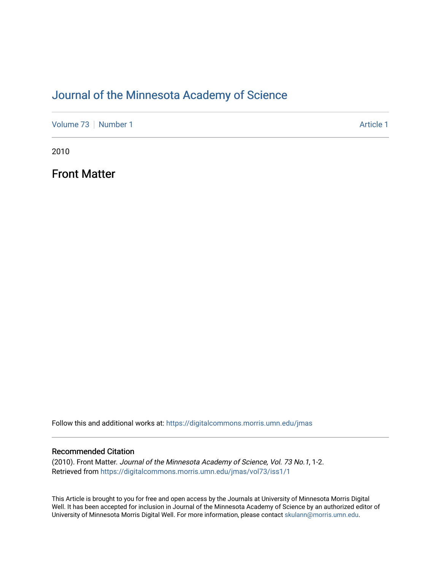# [Journal of the Minnesota Academy of Science](https://digitalcommons.morris.umn.edu/jmas)

[Volume 73](https://digitalcommons.morris.umn.edu/jmas/vol73) [Number 1](https://digitalcommons.morris.umn.edu/jmas/vol73/iss1) Article 1

2010

Front Matter

Follow this and additional works at: [https://digitalcommons.morris.umn.edu/jmas](https://digitalcommons.morris.umn.edu/jmas?utm_source=digitalcommons.morris.umn.edu%2Fjmas%2Fvol73%2Fiss1%2F1&utm_medium=PDF&utm_campaign=PDFCoverPages) 

#### Recommended Citation

(2010). Front Matter. Journal of the Minnesota Academy of Science, Vol. 73 No.1, 1-2. Retrieved from [https://digitalcommons.morris.umn.edu/jmas/vol73/iss1/1](https://digitalcommons.morris.umn.edu/jmas/vol73/iss1/1?utm_source=digitalcommons.morris.umn.edu%2Fjmas%2Fvol73%2Fiss1%2F1&utm_medium=PDF&utm_campaign=PDFCoverPages)

This Article is brought to you for free and open access by the Journals at University of Minnesota Morris Digital Well. It has been accepted for inclusion in Journal of the Minnesota Academy of Science by an authorized editor of University of Minnesota Morris Digital Well. For more information, please contact [skulann@morris.umn.edu](mailto:skulann@morris.umn.edu).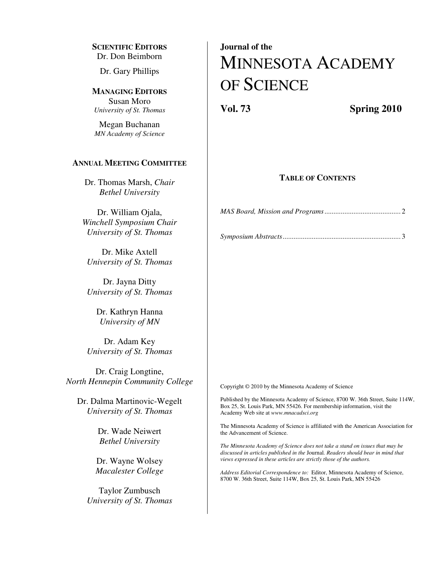**SCIENTIFIC EDITORS** Dr. Don Beimborn

Dr. Gary Phillips

**MANAGING EDITORS** Susan Moro *University of St. Thomas*

Megan Buchanan *MN Academy of Science* 

#### **ANNUAL MEETING COMMITTEE**

Dr. Thomas Marsh, *Chair Bethel University* 

Dr. William Ojala, *Winchell Symposium Chair University of St. Thomas* 

Dr. Mike Axtell *University of St. Thomas* 

Dr. Jayna Ditty *University of St. Thomas* 

> Dr. Kathryn Hanna *University of MN*

Dr. Adam Key *University of St. Thomas*

Dr. Craig Longtine, *North Hennepin Community College* 

Dr. Dalma Martinovic-Wegelt *University of St. Thomas*

> Dr. Wade Neiwert *Bethel University*

Dr. Wayne Wolsey *Macalester College* 

Taylor Zumbusch *University of St. Thomas* 

# **Journal of the**  MINNESOTA ACADEMY OF SCIENCE

**Vol. 73 Spring 2010** 

#### **TABLE OF CONTENTS**

*MAS Board, Mission and Programs ..........................................* 2

*Symposium Abstracts .................................................................* 3

Copyright © 2010 by the Minnesota Academy of Science

Published by the Minnesota Academy of Science, 8700 W. 36th Street, Suite 114W, Box 25, St. Louis Park, MN 55426. For membership information, visit the Academy Web site at *www.mnacadsci.org*

The Minnesota Academy of Science is affiliated with the American Association for the Advancement of Science.

*The Minnesota Academy of Science does not take a stand on issues that may be discussed in articles published in the* Journal*. Readers should bear in mind that views expressed in these articles are strictly those of the authors.* 

*Address Editorial Correspondence to:* Editor, Minnesota Academy of Science, 8700 W. 36th Street, Suite 114W, Box 25, St. Louis Park, MN 55426